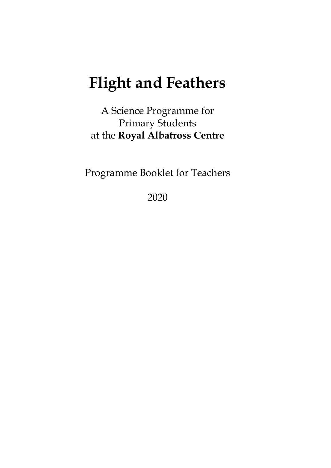# **Flight and Feathers**

A Science Programme for Primary Students at the **Royal Albatross Centre**

Programme Booklet for Teachers

2020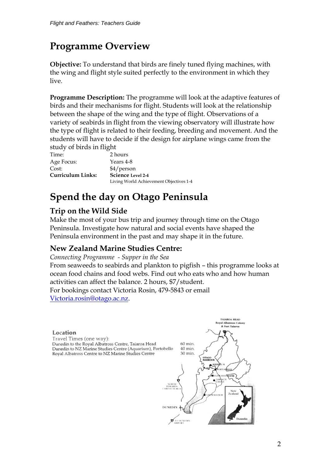# **Programme Overview**

**Objective:** To understand that birds are finely tuned flying machines, with the wing and flight style suited perfectly to the environment in which they live.

**Programme Description:** The programme will look at the adaptive features of birds and their mechanisms for flight. Students will look at the relationship between the shape of the wing and the type of flight. Observations of a variety of seabirds in flight from the viewing observatory will illustrate how the type of flight is related to their feeding, breeding and movement. And the students will have to decide if the design for airplane wings came from the study of birds in flight

Time: 2 hours Age Focus: Years 4-8 Cost: \$4/person **Curriculum Links: Science Level 2-4**

Living World Achievement Objectives 1-4

# **Spend the day on Otago Peninsula**

## **Trip on the Wild Side**

Make the most of your bus trip and journey through time on the Otago Peninsula. Investigate how natural and social events have shaped the Peninsula environment in the past and may shape it in the future.

## **New Zealand Marine Studies Centre:**

*Connecting Programme - Supper in the Sea*

From seaweeds to seabirds and plankton to pigfish – this programme looks at ocean food chains and food webs. Find out who eats who and how human activities can affect the balance. 2 hours, \$7/student.

For bookings contact Victoria Rosin, 479-5843 or email

[Victoria.rosin@otago.ac.nz.](mailto:Victoria.rosin@otago.ac.nz)

#### **TAIAROA HEAD** al Alba u audatross Co<br>& Fort Taiaroa Location Travel Times (one way): Dunedin to the Royal Albatross Centre, Tajaroa Head 60 min. Dunedin to NZ Marine Studies Centre (Aquarium), Portobello  $40$  min. 30 min. Royal Albatross Centre to NZ Marine Studies Centre OTAG ∉uo **NOUSE** New<br>Zealand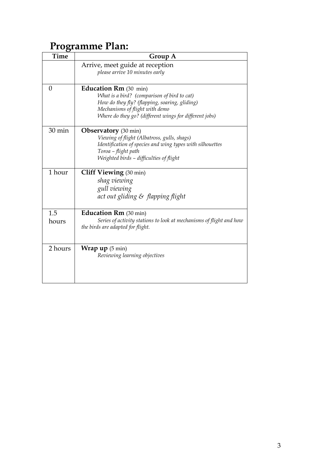# **Programme Plan:**

| <b>Time</b>  | Group A                                                                                                                                                                                                                  |
|--------------|--------------------------------------------------------------------------------------------------------------------------------------------------------------------------------------------------------------------------|
|              | Arrive, meet guide at reception<br>please arrive 10 minutes early                                                                                                                                                        |
| 0            | <b>Education Rm</b> (30 min)<br>What is a bird? (comparison of bird to cat)<br>How do they fly? (flapping, soaring, gliding)<br>Mechanisms of flight with demo<br>Where do they go? (different wings for different jobs) |
| 30 min       | <b>Observatory</b> (30 min)<br>Viewing of flight (Albatross, gulls, shags)<br>Identification of species and wing types with silhouettes<br>Toroa - flight path<br>Weighted birds - difficulties of flight                |
| 1 hour       | <b>Cliff Viewing</b> (30 min)<br>shag viewing<br>gull viewing<br>act out gliding & flapping flight                                                                                                                       |
| 1.5<br>hours | <b>Education Rm</b> (30 min)<br>Series of activity stations to look at mechanisms of flight and how<br>the birds are adapted for flight.                                                                                 |
| 2 hours      | <b>Wrap up</b> $(5 \text{ min})$<br>Reviewing learning objectives                                                                                                                                                        |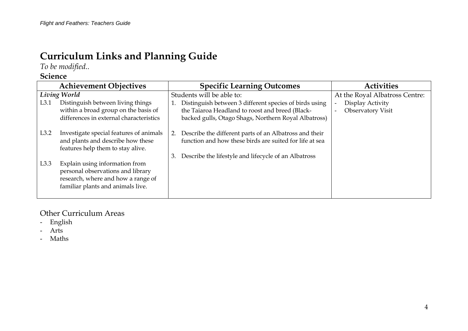# **Curriculum Links and Planning Guide**

*To be modified..*

## **Science**

|              | <b>Achievement Objectives</b>                                                                                                                  | <b>Specific Learning Outcomes</b>                                                                                       | <b>Activities</b>              |
|--------------|------------------------------------------------------------------------------------------------------------------------------------------------|-------------------------------------------------------------------------------------------------------------------------|--------------------------------|
| Living World |                                                                                                                                                | Students will be able to:                                                                                               | At the Royal Albatross Centre: |
| L3.1         | Distinguish between living things                                                                                                              | Distinguish between 3 different species of birds using                                                                  | Display Activity               |
|              | within a broad group on the basis of                                                                                                           | the Taiaroa Headland to roost and breed (Black-                                                                         | <b>Observatory Visit</b>       |
|              | differences in external characteristics                                                                                                        | backed gulls, Otago Shags, Northern Royal Albatross)                                                                    |                                |
| L3.2         | Investigate special features of animals<br>and plants and describe how these<br>features help them to stay alive.                              | Describe the different parts of an Albatross and their<br>2.<br>function and how these birds are suited for life at sea |                                |
| L3.3         | Explain using information from<br>personal observations and library<br>research, where and how a range of<br>familiar plants and animals live. | Describe the lifestyle and lifecycle of an Albatross<br>3.                                                              |                                |

## Other Curriculum Areas

- English
- Arts
- Maths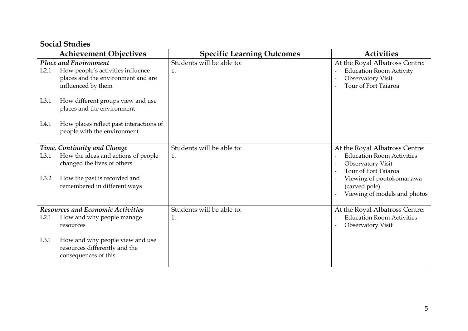## **Social Studies**

|                                          | <b>Achievement Objectives</b>                                      | <b>Specific Learning Outcomes</b> | <b>Activities</b>                                            |
|------------------------------------------|--------------------------------------------------------------------|-----------------------------------|--------------------------------------------------------------|
| <b>Place and Environment</b>             |                                                                    | Students will be able to:         | At the Royal Albatross Centre:                               |
| L2.1                                     | How people's activities influence                                  | 1.                                | <b>Education Room Activity</b>                               |
|                                          | places and the environment and are                                 |                                   | Observatory Visit                                            |
|                                          | influenced by them                                                 |                                   | Tour of Fort Taiaroa                                         |
| L3.1                                     | How different groups view and use                                  |                                   |                                                              |
|                                          | places and the environment                                         |                                   |                                                              |
| L4.1                                     | How places reflect past interactions of                            |                                   |                                                              |
|                                          | people with the environment                                        |                                   |                                                              |
|                                          |                                                                    |                                   |                                                              |
|                                          | Time, Continuity and Change                                        | Students will be able to:         | At the Royal Albatross Centre:                               |
| L3.1                                     | How the ideas and actions of people<br>changed the lives of others | 1.                                | <b>Education Room Activities</b><br><b>Observatory Visit</b> |
|                                          |                                                                    |                                   | Tour of Fort Taiaroa                                         |
| L3.2                                     | How the past is recorded and                                       |                                   | Viewing of poutokomanawa                                     |
|                                          | remembered in different ways                                       |                                   | (carved pole)                                                |
|                                          |                                                                    |                                   | Viewing of models and photos                                 |
| <b>Resources and Economic Activities</b> |                                                                    | Students will be able to:         | At the Royal Albatross Centre:                               |
| L2.1                                     | How and why people manage                                          | 1.                                | <b>Education Room Activities</b>                             |
|                                          | resources                                                          |                                   | <b>Observatory Visit</b>                                     |
|                                          |                                                                    |                                   |                                                              |
| L3.1                                     | How and why people view and use                                    |                                   |                                                              |
|                                          | resources differently and the                                      |                                   |                                                              |
|                                          | consequences of this                                               |                                   |                                                              |
|                                          |                                                                    |                                   |                                                              |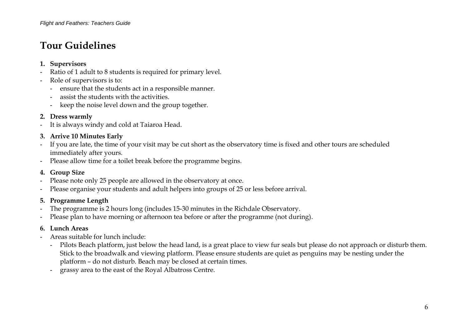# **Tour Guidelines**

#### **1. Supervisors**

- Ratio of 1 adult to 8 students is required for primary level.
- Role of supervisors is to:
	- ensure that the students act in a responsible manner.
	- assist the students with the activities.
	- keep the noise level down and the group together.

#### **2. Dress warmly**

- It is always windy and cold at Taiaroa Head.

## **3. Arrive 10 Minutes Early**

- If you are late, the time of your visit may be cut short as the observatory time is fixed and other tours are scheduled immediately after yours.
- Please allow time for a toilet break before the programme begins.

## **4. Group Size**

- Please note only 25 people are allowed in the observatory at once.
- Please organise your students and adult helpers into groups of 25 or less before arrival.

## **5. Programme Length**

- The programme is 2 hours long (includes 15-30 minutes in the Richdale Observatory.
- Please plan to have morning or afternoon tea before or after the programme (not during).

## **6. Lunch Areas**

- Areas suitable for lunch include:
	- Pilots Beach platform, just below the head land, is a great place to view fur seals but please do not approach or disturb them. Stick to the broadwalk and viewing platform. Please ensure students are quiet as penguins may be nesting under the platform – do not disturb. Beach may be closed at certain times.
	- grassy area to the east of the Royal Albatross Centre.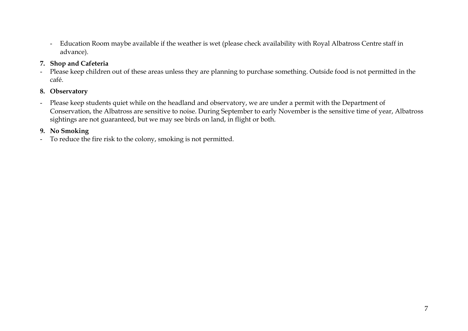- Education Room maybe available if the weather is wet (please check availability with Royal Albatross Centre staff in advance).

## **7. Shop and Cafeteria**

- Please keep children out of these areas unless they are planning to purchase something. Outside food is not permitted in the café.

## **8. Observatory**

- Please keep students quiet while on the headland and observatory, we are under a permit with the Department of Conservation, the Albatross are sensitive to noise. During September to early November is the sensitive time of year, Albatross sightings are not guaranteed, but we may see birds on land, in flight or both.

## **9. No Smoking**

- To reduce the fire risk to the colony, smoking is not permitted.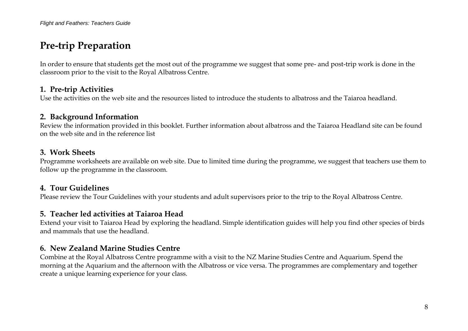## **Pre-trip Preparation**

In order to ensure that students get the most out of the programme we suggest that some pre- and post-trip work is done in the classroom prior to the visit to the Royal Albatross Centre.

## **1. Pre-trip Activities**

Use the activities on the web site and the resources listed to introduce the students to albatross and the Taiaroa headland.

## **2. Background Information**

Review the information provided in this booklet. Further information about albatross and the Taiaroa Headland site can be found on the web site and in the reference list

## **3. Work Sheets**

Programme worksheets are available on web site. Due to limited time during the programme, we suggest that teachers use them to follow up the programme in the classroom.

## **4. Tour Guidelines**

Please review the Tour Guidelines with your students and adult supervisors prior to the trip to the Royal Albatross Centre.

## **5. Teacher led activities at Taiaroa Head**

Extend your visit to Taiaroa Head by exploring the headland. Simple identification guides will help you find other species of birds and mammals that use the headland.

## **6. New Zealand Marine Studies Centre**

Combine at the Royal Albatross Centre programme with a visit to the NZ Marine Studies Centre and Aquarium. Spend the morning at the Aquarium and the afternoon with the Albatross or vice versa. The programmes are complementary and together create a unique learning experience for your class.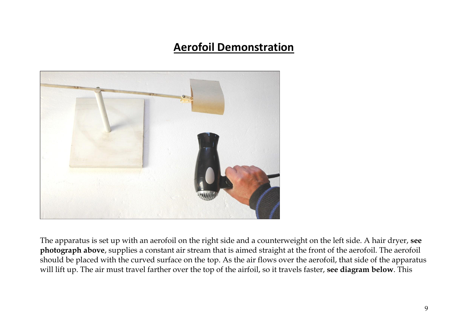# **Aerofoil Demonstration**



The apparatus is set up with an aerofoil on the right side and a counterweight on the left side. A hair dryer, **see photograph above**, supplies a constant air stream that is aimed straight at the front of the aerofoil. The aerofoil should be placed with the curved surface on the top. As the air flows over the aerofoil, that side of the apparatus will lift up. The air must travel farther over the top of the airfoil, so it travels faster, **see diagram below**. This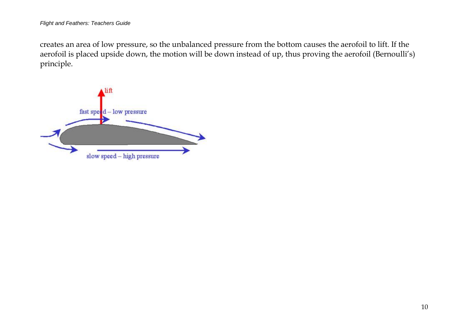creates an area of low pressure, so the unbalanced pressure from the bottom causes the aerofoil to lift. If the aerofoil is placed upside down, the motion will be down instead of up, thus proving the aerofoil (Bernoulli's) principle.

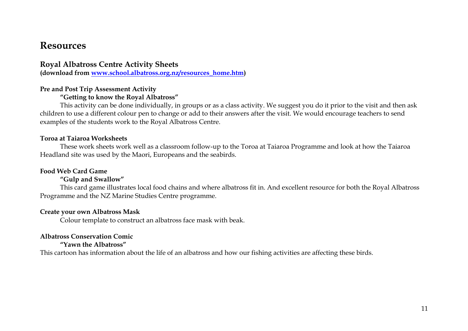## **Resources**

## **Royal Albatross Centre Activity Sheets**

**(download from [www.school.albatross.org.nz/resources\\_home.htm\)](http://www.school.albatross.org.nz/resources_home.htm)**

#### **Pre and Post Trip Assessment Activity**

#### **"Getting to know the Royal Albatross"**

This activity can be done individually, in groups or as a class activity. We suggest you do it prior to the visit and then ask children to use a different colour pen to change or add to their answers after the visit. We would encourage teachers to send examples of the students work to the Royal Albatross Centre.

#### **Toroa at Taiaroa Worksheets**

These work sheets work well as a classroom follow-up to the Toroa at Taiaroa Programme and look at how the Taiaroa Headland site was used by the Maori, Europeans and the seabirds.

#### **Food Web Card Game**

#### **"Gulp and Swallow"**

This card game illustrates local food chains and where albatross fit in. And excellent resource for both the Royal Albatross Programme and the NZ Marine Studies Centre programme.

#### **Create your own Albatross Mask**

Colour template to construct an albatross face mask with beak.

## **Albatross Conservation Comic**

#### **"Yawn the Albatross"**

This cartoon has information about the life of an albatross and how our fishing activities are affecting these birds.